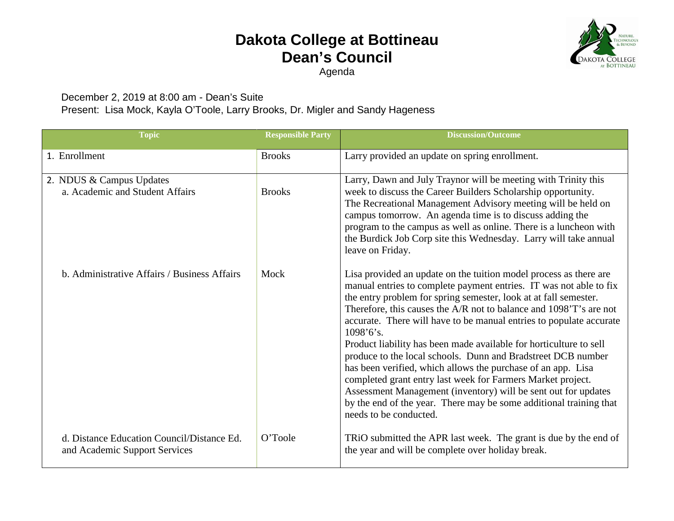## **Dakota College at Bottineau Dean's Council**

**KOTA COLLEGE BOTTINEAU** 

Agenda

## December 2, 2019 at 8:00 am - Dean's Suite

Present: Lisa Mock, Kayla O'Toole, Larry Brooks, Dr. Migler and Sandy Hageness

| <b>Topic</b>                                                                | <b>Responsible Party</b> | <b>Discussion/Outcome</b>                                                                                                                                                                                                                                                                                                                                                                                                                                                                                                                                                                                                                                                                                                                                                                                    |
|-----------------------------------------------------------------------------|--------------------------|--------------------------------------------------------------------------------------------------------------------------------------------------------------------------------------------------------------------------------------------------------------------------------------------------------------------------------------------------------------------------------------------------------------------------------------------------------------------------------------------------------------------------------------------------------------------------------------------------------------------------------------------------------------------------------------------------------------------------------------------------------------------------------------------------------------|
| 1. Enrollment                                                               | <b>Brooks</b>            | Larry provided an update on spring enrollment.                                                                                                                                                                                                                                                                                                                                                                                                                                                                                                                                                                                                                                                                                                                                                               |
| 2. NDUS & Campus Updates<br>a. Academic and Student Affairs                 | <b>Brooks</b>            | Larry, Dawn and July Traynor will be meeting with Trinity this<br>week to discuss the Career Builders Scholarship opportunity.<br>The Recreational Management Advisory meeting will be held on<br>campus tomorrow. An agenda time is to discuss adding the<br>program to the campus as well as online. There is a luncheon with<br>the Burdick Job Corp site this Wednesday. Larry will take annual<br>leave on Friday.                                                                                                                                                                                                                                                                                                                                                                                      |
| b. Administrative Affairs / Business Affairs                                | Mock                     | Lisa provided an update on the tuition model process as there are<br>manual entries to complete payment entries. IT was not able to fix<br>the entry problem for spring semester, look at at fall semester.<br>Therefore, this causes the A/R not to balance and 1098'T's are not<br>accurate. There will have to be manual entries to populate accurate<br>1098'6's.<br>Product liability has been made available for horticulture to sell<br>produce to the local schools. Dunn and Bradstreet DCB number<br>has been verified, which allows the purchase of an app. Lisa<br>completed grant entry last week for Farmers Market project.<br>Assessment Management (inventory) will be sent out for updates<br>by the end of the year. There may be some additional training that<br>needs to be conducted. |
| d. Distance Education Council/Distance Ed.<br>and Academic Support Services | O'Toole                  | TRiO submitted the APR last week. The grant is due by the end of<br>the year and will be complete over holiday break.                                                                                                                                                                                                                                                                                                                                                                                                                                                                                                                                                                                                                                                                                        |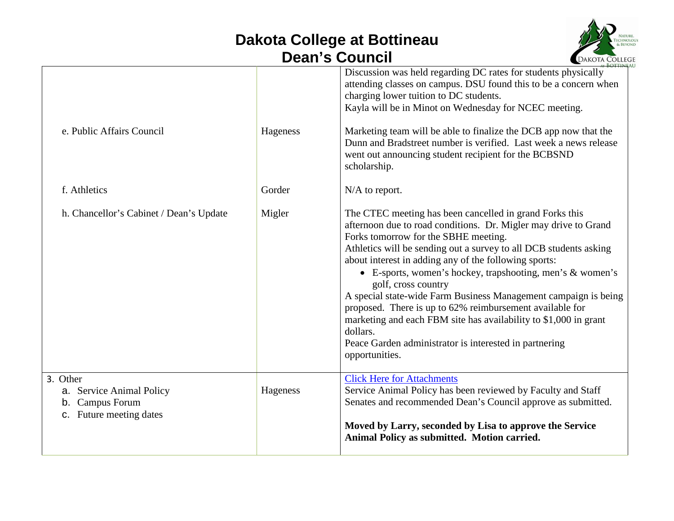## **Dakota College at Bottineau Dean's Council**



| <b>BOTTIM</b>                                                                             |          |                                                                                                                                                                                                                                                                                                                                                                                                                                                                                                                                                                                                                                                                                 |  |  |
|-------------------------------------------------------------------------------------------|----------|---------------------------------------------------------------------------------------------------------------------------------------------------------------------------------------------------------------------------------------------------------------------------------------------------------------------------------------------------------------------------------------------------------------------------------------------------------------------------------------------------------------------------------------------------------------------------------------------------------------------------------------------------------------------------------|--|--|
| e. Public Affairs Council                                                                 | Hageness | Discussion was held regarding DC rates for students physically<br>attending classes on campus. DSU found this to be a concern when<br>charging lower tuition to DC students.<br>Kayla will be in Minot on Wednesday for NCEC meeting.<br>Marketing team will be able to finalize the DCB app now that the<br>Dunn and Bradstreet number is verified. Last week a news release<br>went out announcing student recipient for the BCBSND<br>scholarship.                                                                                                                                                                                                                           |  |  |
| f. Athletics                                                                              | Gorder   | $N/A$ to report.                                                                                                                                                                                                                                                                                                                                                                                                                                                                                                                                                                                                                                                                |  |  |
| h. Chancellor's Cabinet / Dean's Update                                                   | Migler   | The CTEC meeting has been cancelled in grand Forks this<br>afternoon due to road conditions. Dr. Migler may drive to Grand<br>Forks tomorrow for the SBHE meeting.<br>Athletics will be sending out a survey to all DCB students asking<br>about interest in adding any of the following sports:<br>• E-sports, women's hockey, trapshooting, men's & women's<br>golf, cross country<br>A special state-wide Farm Business Management campaign is being<br>proposed. There is up to 62% reimbursement available for<br>marketing and each FBM site has availability to \$1,000 in grant<br>dollars.<br>Peace Garden administrator is interested in partnering<br>opportunities. |  |  |
| 3. Other<br>a. Service Animal Policy<br><b>Campus Forum</b><br>b.<br>Future meeting dates | Hageness | <b>Click Here for Attachments</b><br>Service Animal Policy has been reviewed by Faculty and Staff<br>Senates and recommended Dean's Council approve as submitted.<br>Moved by Larry, seconded by Lisa to approve the Service<br>Animal Policy as submitted. Motion carried.                                                                                                                                                                                                                                                                                                                                                                                                     |  |  |